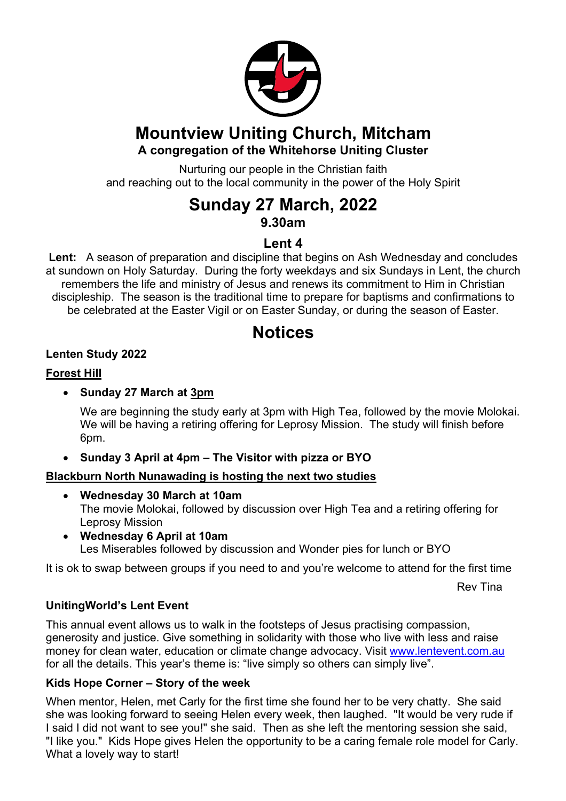

## **Mountview Uniting Church, Mitcham A congregation of the Whitehorse Uniting Cluster**

Nurturing our people in the Christian faith and reaching out to the local community in the power of the Holy Spirit

# **Sunday 27 March, 2022 9.30am**

## **Lent 4**

**Lent:** A season of preparation and discipline that begins on Ash Wednesday and concludes at sundown on Holy Saturday. During the forty weekdays and six Sundays in Lent, the church remembers the life and ministry of Jesus and renews its commitment to Him in Christian discipleship. The season is the traditional time to prepare for baptisms and confirmations to be celebrated at the Easter Vigil or on Easter Sunday, or during the season of Easter.

# **Notices**

## **Lenten Study 2022**

## **Forest Hill**

## • **Sunday 27 March at 3pm**

We are beginning the study early at 3pm with High Tea, followed by the movie Molokai. We will be having a retiring offering for Leprosy Mission. The study will finish before 6pm.

## • **Sunday 3 April at 4pm – The Visitor with pizza or BYO**

## **Blackburn North Nunawading is hosting the next two studies**

- **Wednesday 30 March at 10am** The movie Molokai, followed by discussion over High Tea and a retiring offering for Leprosy Mission
- **Wednesday 6 April at 10am** Les Miserables followed by discussion and Wonder pies for lunch or BYO

It is ok to swap between groups if you need to and you're welcome to attend for the first time

Rev Tina

## **UnitingWorld's Lent Event**

This annual event allows us to walk in the footsteps of Jesus practising compassion, generosity and justice. Give something in solidarity with those who live with less and raise money for clean water, education or climate change advocacy. Visit www.lentevent.com.au for all the details. This year's theme is: "live simply so others can simply live".

## **Kids Hope Corner – Story of the week**

When mentor, Helen, met Carly for the first time she found her to be very chatty. She said she was looking forward to seeing Helen every week, then laughed. "It would be very rude if I said I did not want to see you!" she said. Then as she left the mentoring session she said, "I like you." Kids Hope gives Helen the opportunity to be a caring female role model for Carly. What a lovely way to start!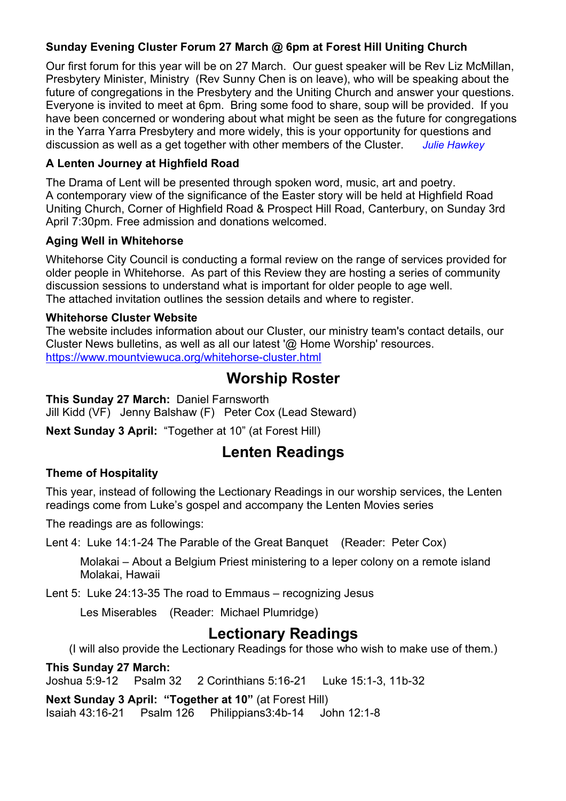### **Sunday Evening Cluster Forum 27 March @ 6pm at Forest Hill Uniting Church**

Our first forum for this year will be on 27 March. Our guest speaker will be Rev Liz McMillan, Presbytery Minister, Ministry (Rev Sunny Chen is on leave), who will be speaking about the future of congregations in the Presbytery and the Uniting Church and answer your questions. Everyone is invited to meet at 6pm. Bring some food to share, soup will be provided. If you have been concerned or wondering about what might be seen as the future for congregations in the Yarra Yarra Presbytery and more widely, this is your opportunity for questions and discussion as well as a get together with other members of the Cluster. *Julie Hawkey*

#### **A Lenten Journey at Highfield Road**

The Drama of Lent will be presented through spoken word, music, art and poetry. A contemporary view of the significance of the Easter story will be held at Highfield Road Uniting Church, Corner of Highfield Road & Prospect Hill Road, Canterbury, on Sunday 3rd April 7:30pm. Free admission and donations welcomed.

#### **Aging Well in Whitehorse**

Whitehorse City Council is conducting a formal review on the range of services provided for older people in Whitehorse. As part of this Review they are hosting a series of community discussion sessions to understand what is important for older people to age well. The attached invitation outlines the session details and where to register.

#### **Whitehorse Cluster Website**

The website includes information about our Cluster, our ministry team's contact details, our Cluster News bulletins, as well as all our latest '@ Home Worship' resources. https://www.mountviewuca.org/whitehorse-cluster.html

# **Worship Roster**

**This Sunday 27 March:** Daniel Farnsworth Jill Kidd (VF) Jenny Balshaw (F) Peter Cox (Lead Steward)

**Next Sunday 3 April:** "Together at 10" (at Forest Hill)

# **Lenten Readings**

## **Theme of Hospitality**

This year, instead of following the Lectionary Readings in our worship services, the Lenten readings come from Luke's gospel and accompany the Lenten Movies series

The readings are as followings:

Lent 4: Luke 14:1-24 The Parable of the Great Banquet (Reader: Peter Cox)

Molakai – About a Belgium Priest ministering to a leper colony on a remote island Molakai, Hawaii

Lent 5: Luke 24:13-35 The road to Emmaus – recognizing Jesus

Les Miserables (Reader: Michael Plumridge)

# **Lectionary Readings**

(I will also provide the Lectionary Readings for those who wish to make use of them.)

**This Sunday 27 March:** Joshua 5:9-12 Psalm 32 2 Corinthians 5:16-21 Luke 15:1-3, 11b-32

**Next Sunday 3 April: "Together at 10"** (at Forest Hill)

Isaiah 43:16-21 Psalm 126 Philippians3:4b-14 John 12:1-8